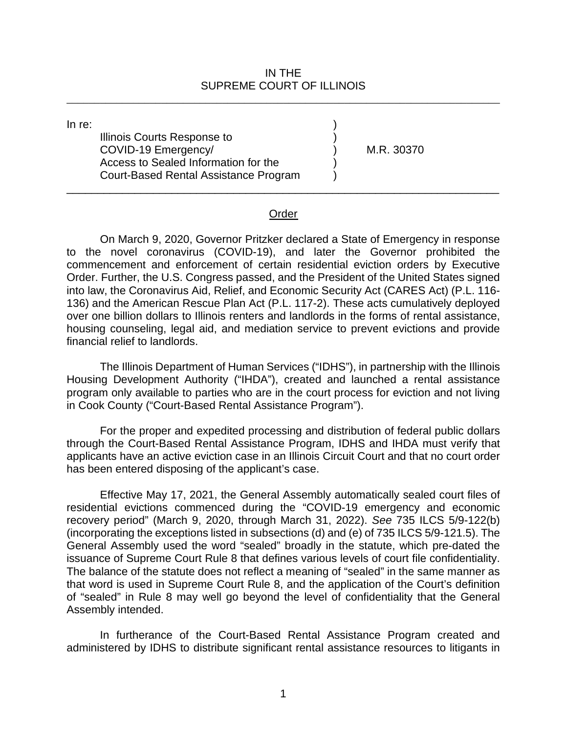## IN THE SUPREME COURT OF ILLINOIS

\_\_\_\_\_\_\_\_\_\_\_\_\_\_\_\_\_\_\_\_\_\_\_\_\_\_\_\_\_\_\_\_\_\_\_\_\_\_\_\_\_\_\_\_\_\_\_\_\_\_\_\_\_\_\_\_\_\_\_\_\_\_\_\_\_\_\_\_\_\_\_\_\_\_\_\_\_\_

 COVID-19 Emergency/ ) M.R. 30370 Court-Based Rental Assistance Program ) In re:  $\qquad \qquad )$ Illinois Courts Response to ) Access to Sealed Information for the )

## Order

\_\_\_\_\_\_\_\_\_\_\_\_\_\_\_\_\_\_\_\_\_\_\_\_\_\_\_\_\_\_\_\_\_\_\_\_\_\_\_\_\_\_\_\_\_\_\_\_\_\_\_\_\_\_\_\_\_\_\_\_\_\_\_\_\_\_\_\_\_\_

 Order. Further, the U.S. Congress passed, and the President of the United States signed into law, the Coronavirus Aid, Relief, and Economic Security Act (CARES Act) (P.L. 116- over one billion dollars to Illinois renters and landlords in the forms of rental assistance, On March 9, 2020, Governor Pritzker declared a State of Emergency in response to the novel coronavirus (COVID-19), and later the Governor prohibited the commencement and enforcement of certain residential eviction orders by Executive 136) and the American Rescue Plan Act (P.L. 117-2). These acts cumulatively deployed housing counseling, legal aid, and mediation service to prevent evictions and provide financial relief to landlords.

 program only available to parties who are in the court process for eviction and not living The Illinois Department of Human Services ("IDHS"), in partnership with the Illinois Housing Development Authority ("IHDA"), created and launched a rental assistance in Cook County ("Court-Based Rental Assistance Program").

 For the proper and expedited processing and distribution of federal public dollars applicants have an active eviction case in an Illinois Circuit Court and that no court order has been entered disposing of the applicant's case. through the Court-Based Rental Assistance Program, IDHS and IHDA must verify that

has been entered disposing of the applicant's case.<br>Effective May 17, 2021, the General Assembly automatically sealed court files of The balance of the statute does not reflect a meaning of "sealed" in the same manner as that word is used in Supreme Court Rule 8, and the application of the Court's definition residential evictions commenced during the "COVID-19 emergency and economic recovery period" (March 9, 2020, through March 31, 2022). *See* 735 ILCS 5/9-122(b) (incorporating the exceptions listed in subsections (d) and (e) of 735 ILCS 5/9-121.5). The General Assembly used the word "sealed" broadly in the statute, which pre-dated the issuance of Supreme Court Rule 8 that defines various levels of court file confidentiality. of "sealed" in Rule 8 may well go beyond the level of confidentiality that the General Assembly intended.

 In furtherance of the Court-Based Rental Assistance Program created and administered by IDHS to distribute significant rental assistance resources to litigants in